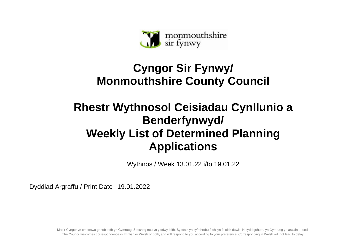

## **Cyngor Sir Fynwy/ Monmouthshire County Council**

## **Rhestr Wythnosol Ceisiadau Cynllunio a Benderfynwyd/ Weekly List of Determined Planning Applications**

Wythnos / Week 13.01.22 i/to 19.01.22

Dyddiad Argraffu / Print Date 19.01.2022

Mae'r Cyngor yn croesawu gohebiaeth yn Gymraeg, Saesneg neu yn y ddwy iaith. Byddwn yn cyfathrebu â chi yn ôl eich dewis. Ni fydd gohebu yn Gymraeg yn arwain at oedi. The Council welcomes correspondence in English or Welsh or both, and will respond to you according to your preference. Corresponding in Welsh will not lead to delay.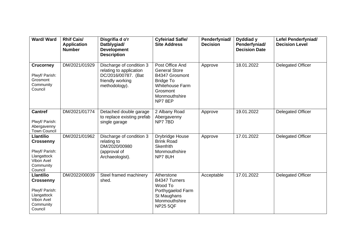| Ward/Ward                                                                                                   | <b>Rhif Cais/</b><br><b>Application</b><br><b>Number</b> | Disgrifia d o'r<br>Datblygiad/<br><b>Development</b><br><b>Description</b>                                      | <b>Cyfeiriad Safle/</b><br><b>Site Address</b>                                                                                                 | Penderfyniad/<br><b>Decision</b> | Dyddiad y<br>Penderfyniad/<br><b>Decision Date</b> | Lefel Penderfyniad/<br><b>Decision Level</b> |
|-------------------------------------------------------------------------------------------------------------|----------------------------------------------------------|-----------------------------------------------------------------------------------------------------------------|------------------------------------------------------------------------------------------------------------------------------------------------|----------------------------------|----------------------------------------------------|----------------------------------------------|
| <b>Crucorney</b><br>Plwyf/ Parish:<br>Grosmont<br>Community<br>Council                                      | DM/2021/01929                                            | Discharge of condition 3<br>relating to application<br>DC/2016/00787. (Bat<br>friendly working<br>methodology). | Post Office And<br><b>General Store</b><br>B4347 Grosmont<br><b>Bridge To</b><br><b>Whitehouse Farm</b><br>Grosmont<br>Monmouthshire<br>NP78EP | Approve                          | 18.01.2022                                         | Delegated Officer                            |
| <b>Cantref</b><br>Plwyf/ Parish:<br>Abergavenny<br><b>Town Council</b>                                      | DM/2021/01774                                            | Detached double garage<br>to replace existing prefab<br>single garage                                           | 2 Albany Road<br>Abergavenny<br>NP77BD                                                                                                         | Approve                          | 19.01.2022                                         | <b>Delegated Officer</b>                     |
| <b>Llantilio</b><br><b>Crossenny</b><br>Plwyf/ Parish:<br>Llangattock<br>Vibon Avel<br>Community<br>Council | DM/2021/01962                                            | Discharge of condition 3<br>relating to<br>DM/2020/00980<br>(approval of<br>Archaeologist).                     | Drybridge House<br><b>Brink Road</b><br><b>Skenfrith</b><br>Monmouthshire<br>NP78UH                                                            | Approve                          | 17.01.2022                                         | <b>Delegated Officer</b>                     |
| <b>Llantilio</b><br><b>Crossenny</b><br>Plwyf/ Parish:<br>Llangattock<br>Vibon Avel<br>Community<br>Council | DM/2022/00039                                            | Steel framed machinery<br>shed.                                                                                 | Atherstone<br>B4347 Turners<br>Wood To<br>Porthygaelod Farm<br>St Maughans<br>Monmouthshire<br><b>NP25 5QF</b>                                 | Acceptable                       | 17.01.2022                                         | Delegated Officer                            |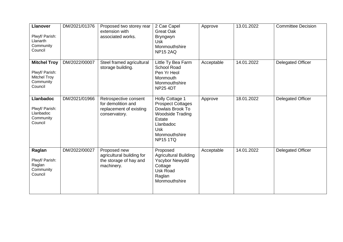| <b>Llanover</b><br>Plwyf/ Parish:<br>Llanarth<br>Community<br>Council                | DM/2021/01376 | Proposed two storey rear<br>extension with<br>associated works.                         | 2 Cae Capel<br><b>Great Oak</b><br>Bryngwyn<br><b>Usk</b><br>Monmouthshire<br><b>NP15 2AQ</b>                                                                       | Approve    | 13.01.2022 | <b>Committee Decision</b> |
|--------------------------------------------------------------------------------------|---------------|-----------------------------------------------------------------------------------------|---------------------------------------------------------------------------------------------------------------------------------------------------------------------|------------|------------|---------------------------|
| <b>Mitchel Troy</b><br>Plwyf/ Parish:<br><b>Mitchel Troy</b><br>Community<br>Council | DM/2022/00007 | Steel framed agricultural<br>storage building.                                          | Little Ty Bea Farm<br><b>School Road</b><br>Pen Yr Heol<br>Monmouth<br>Monmouthshire<br><b>NP25 4DT</b>                                                             | Acceptable | 14.01.2022 | Delegated Officer         |
| <b>Llanbadoc</b><br>Plwyf/ Parish:<br>Llanbadoc<br>Community<br>Council              | DM/2021/01966 | Retrospective consent<br>for demolition and<br>replacement of existing<br>conservatory. | Holly Cottage 1<br><b>Prospect Cottages</b><br>Dowlais Brook To<br><b>Woodside Trading</b><br>Estate<br>Llanbadoc<br><b>Usk</b><br>Monmouthshire<br><b>NP15 1TQ</b> | Approve    | 18.01.2022 | Delegated Officer         |
| Raglan<br>Plwyf/ Parish:<br>Raglan<br>Community<br>Council                           | DM/2022/00027 | Proposed new<br>agricultural building for<br>the storage of hay and<br>machinery.       | Proposed<br><b>Agricultural Building</b><br><b>Yscybor Newydd</b><br>Cottage<br><b>Usk Road</b><br>Raglan<br>Monmouthshire                                          | Acceptable | 14.01.2022 | Delegated Officer         |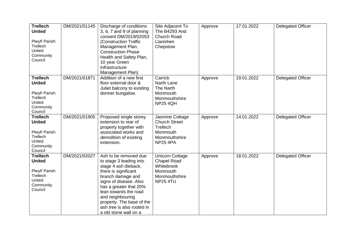| <b>Trellech</b><br><b>United</b><br>Plwyf/ Parish:<br>Trellech<br>United<br>Community<br>Council | DM/2021/01145 | Discharge of conditions<br>3, 6, 7 and 9 of planning<br>consent DM/2019/02053<br>(Construction Traffic<br>Management Plan,<br><b>Construction Phase</b><br>Health and Safety Plan,<br>10 year Green<br>Infrastructure<br>Management Plan)                                                                  | Site Adjacent To<br>The B4293 And<br><b>Church Road</b><br>Llanishen<br>Chepstow                           | Approve | 17.01.2022 | <b>Delegated Officer</b> |
|--------------------------------------------------------------------------------------------------|---------------|------------------------------------------------------------------------------------------------------------------------------------------------------------------------------------------------------------------------------------------------------------------------------------------------------------|------------------------------------------------------------------------------------------------------------|---------|------------|--------------------------|
| <b>Trellech</b><br><b>United</b><br>Plwyf/ Parish:<br>Trellech<br>United<br>Community<br>Council | DM/2021/01871 | Addition of a new first<br>floor external door &<br>Juliet balcony to existing<br>dormer bungalow.                                                                                                                                                                                                         | Carrick<br><b>Narth Lane</b><br>The Narth<br>Monmouth<br>Monmouthshire<br><b>NP25 4QH</b>                  | Approve | 19.01.2022 | <b>Delegated Officer</b> |
| <b>Trellech</b><br><b>United</b><br>Plwyf/ Parish:<br>Trellech<br>United<br>Community<br>Council | DM/2021/01905 | Proposed single storey<br>extension to rear of<br>property together with<br>associated works and<br>demolition of existing<br>extension.                                                                                                                                                                   | Jasmine Cottage<br><b>Church Street</b><br>Trellech<br>Monmouth<br>Monmouthshire<br><b>NP25 4PA</b>        | Approve | 14.01.2022 | <b>Delegated Officer</b> |
| <b>Trellech</b><br><b>United</b><br>Plwyf/ Parish:<br>Trellech<br>United<br>Community<br>Council | DM/2021/02027 | Ash to be removed due<br>to stage 3 leading into<br>stage 4 ash dieback,<br>there is significant<br>branch damage and<br>signs of disease. Also<br>has a greater that 20%<br>lean towards the road<br>and neighbouring<br>property. The base of the<br>ash tree is also rooted in<br>a old stone wall on a | <b>Unicorn Cottage</b><br><b>Chapel Road</b><br>Whitebrook<br>Monmouth<br>Monmouthshire<br><b>NP25 4TU</b> | Approve | 18.01.2022 | <b>Delegated Officer</b> |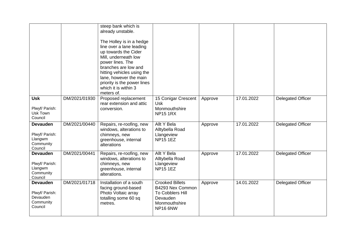|                                                                       |               | steep bank which is<br>already unstable.<br>The Holley is in a hedge<br>line over a lane leading<br>up towards the Cider<br>Mill, underneath low<br>power lines. The<br>branches are low and<br>hitting vehicles using the<br>lane, however the main<br>priority is the power lines<br>which it is within 3<br>meters of. |                                                                                                         |         |            |                          |
|-----------------------------------------------------------------------|---------------|---------------------------------------------------------------------------------------------------------------------------------------------------------------------------------------------------------------------------------------------------------------------------------------------------------------------------|---------------------------------------------------------------------------------------------------------|---------|------------|--------------------------|
| <b>Usk</b><br>Plwyf/ Parish:<br>Usk Town<br>Council                   | DM/2021/01930 | Proposed replacement<br>rear extension and attic<br>conversion.                                                                                                                                                                                                                                                           | 15 Conigar Crescent<br><b>Usk</b><br>Monmouthshire<br><b>NP15 1RX</b>                                   | Approve | 17.01.2022 | <b>Delegated Officer</b> |
| <b>Devauden</b><br>Plwyf/ Parish:<br>Llangwm<br>Community<br>Council  | DM/2021/00440 | Repairs, re-roofing, new<br>windows, alterations to<br>chimneys, new<br>greenhouse, internal<br>alterations                                                                                                                                                                                                               | Allt Y Bela<br>Alltybella Road<br>Llangeview<br><b>NP15 1EZ</b>                                         | Approve | 17.01.2022 | <b>Delegated Officer</b> |
| <b>Devauden</b><br>Plwyf/ Parish:<br>Llangwm<br>Community<br>Council  | DM/2021/00441 | Repairs, re-roofing, new<br>windows, alterations to<br>chimneys, new<br>greenhouse, internal<br>alterations.                                                                                                                                                                                                              | Allt Y Bela<br>Alltybella Road<br>Llangeview<br><b>NP15 1EZ</b>                                         | Approve | 17.01.2022 | <b>Delegated Officer</b> |
| <b>Devauden</b><br>Plwyf/ Parish:<br>Devauden<br>Community<br>Council | DM/2021/01718 | Installation of a south<br>facing ground-based<br>Photo Voltaic array<br>totalling some 60 sq<br>metres.                                                                                                                                                                                                                  | <b>Crooked Billets</b><br>B4293 Nex Common<br>To Cobblers Hill<br>Devauden<br>Monmouthshire<br>NP16 6NW | Approve | 14.01.2022 | <b>Delegated Officer</b> |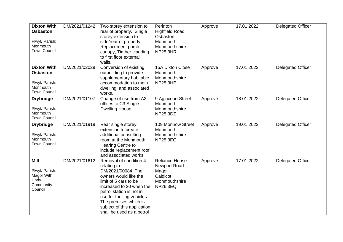| <b>Dixton With</b><br><b>Osbaston</b><br>Plwyf/ Parish:<br>Monmouth<br><b>Town Council</b> | DM/2021/01242 | Two storey extension to<br>rear of property. Single<br>storey extension to<br>side/rear of property.<br>Replacement porch<br>canopy, Timber cladding<br>to first floor external<br>walls.                                                                                                | Perinton<br><b>Highfield Road</b><br>Osbaston<br>Monmouth<br>Monmouthshire<br>NP25 3HR                | Approve | 17.01.2022 | <b>Delegated Officer</b> |
|--------------------------------------------------------------------------------------------|---------------|------------------------------------------------------------------------------------------------------------------------------------------------------------------------------------------------------------------------------------------------------------------------------------------|-------------------------------------------------------------------------------------------------------|---------|------------|--------------------------|
| <b>Dixton With</b><br><b>Osbaston</b><br>Plwyf/ Parish:<br>Monmouth<br><b>Town Council</b> | DM/2021/02029 | Conversion of existing<br>outbuilding to provide<br>supplementary habitable<br>accommodation to main<br>dwelling, and associated<br>works.                                                                                                                                               | 15A Dixton Close<br>Monmouth<br>Monmouthshire<br>NP25 3HE                                             | Approve | 17.01.2022 | <b>Delegated Officer</b> |
| <b>Drybridge</b><br>Plwyf/ Parish:<br>Monmouth<br><b>Town Council</b>                      | DM/2021/01107 | Change of use from A2<br>offices to C3 Single<br>Dwelling House.                                                                                                                                                                                                                         | 9 Agincourt Street<br>Monmouth<br>Monmouthshire<br><b>NP25 3DZ</b>                                    | Approve | 18.01.2022 | <b>Delegated Officer</b> |
| <b>Drybridge</b><br>Plwyf/ Parish:<br>Monmouth<br><b>Town Council</b>                      | DM/2021/01919 | Rear single storey<br>extension to create<br>additional consulting<br>room at the Monmouth<br><b>Hearing Centre to</b><br>include replacement roof<br>and associated works.                                                                                                              | 109 Monnow Street<br>Monmouth<br>Monmouthshire<br><b>NP25 3EG</b>                                     | Approve | 19.01.2022 | <b>Delegated Officer</b> |
| Mill<br>Plwyf/ Parish:<br>Magor With<br>Undy<br>Community<br>Council                       | DM/2021/01612 | Removal of condition 4<br>relating to<br>DM/2021/00684. The<br>owners would like the<br>limit of 5 cars to be<br>increased to 20 when the<br>petrol station is not in<br>use for fuelling vehicles.<br>The premises which is<br>subject of this application<br>shall be used as a petrol | <b>Reliance House</b><br><b>Newport Road</b><br>Magor<br>Caldicot<br>Monmouthshire<br><b>NP26 3EQ</b> | Approve | 17.01.2022 | <b>Delegated Officer</b> |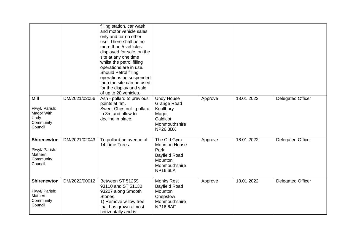|                                                                         |               | filling station, car wash<br>and motor vehicle sales<br>only and for no other<br>use. There shall be no<br>more than 5 vehicles<br>displayed for sale, on the<br>site at any one time<br>whilst the petrol filling<br>operations are in use.<br><b>Should Petrol filling</b><br>operations be suspended<br>then the site can be used<br>for the display and sale<br>of up to 20 vehicles. |                                                                                                                           |         |            |                          |
|-------------------------------------------------------------------------|---------------|-------------------------------------------------------------------------------------------------------------------------------------------------------------------------------------------------------------------------------------------------------------------------------------------------------------------------------------------------------------------------------------------|---------------------------------------------------------------------------------------------------------------------------|---------|------------|--------------------------|
| Mill<br>Plwyf/ Parish:<br>Magor With<br>Undy<br>Community<br>Council    | DM/2021/02056 | Ash - pollard to previous<br>points at 4m.<br>Sweet Chestnut - pollard<br>to 3m and allow to<br>decline in place.                                                                                                                                                                                                                                                                         | <b>Undy House</b><br><b>Grange Road</b><br>Knollbury<br>Magor<br>Caldicot<br>Monmouthshire<br><b>NP26 3BX</b>             | Approve | 18.01.2022 | Delegated Officer        |
| <b>Shirenewton</b><br>Plwyf/ Parish:<br>Mathern<br>Community<br>Council | DM/2021/02043 | To pollard an avenue of<br>14 Lime Trees.                                                                                                                                                                                                                                                                                                                                                 | The Old Gym<br><b>Mounton House</b><br>Park<br><b>Bayfield Road</b><br><b>Mounton</b><br>Monmouthshire<br><b>NP16 6LA</b> | Approve | 18.01.2022 | <b>Delegated Officer</b> |
| <b>Shirenewton</b><br>Plwyf/ Parish:<br>Mathern<br>Community<br>Council | DM/2022/00012 | Between ST 51259<br>93110 and ST 51130<br>93207 along Smooth<br>Stones.<br>1) Remove willow tree<br>that has grown almost<br>horizontally and is                                                                                                                                                                                                                                          | Monks Rest<br><b>Bayfield Road</b><br><b>Mounton</b><br>Chepstow<br>Monmouthshire<br><b>NP16 6AF</b>                      | Approve | 18.01.2022 | <b>Delegated Officer</b> |